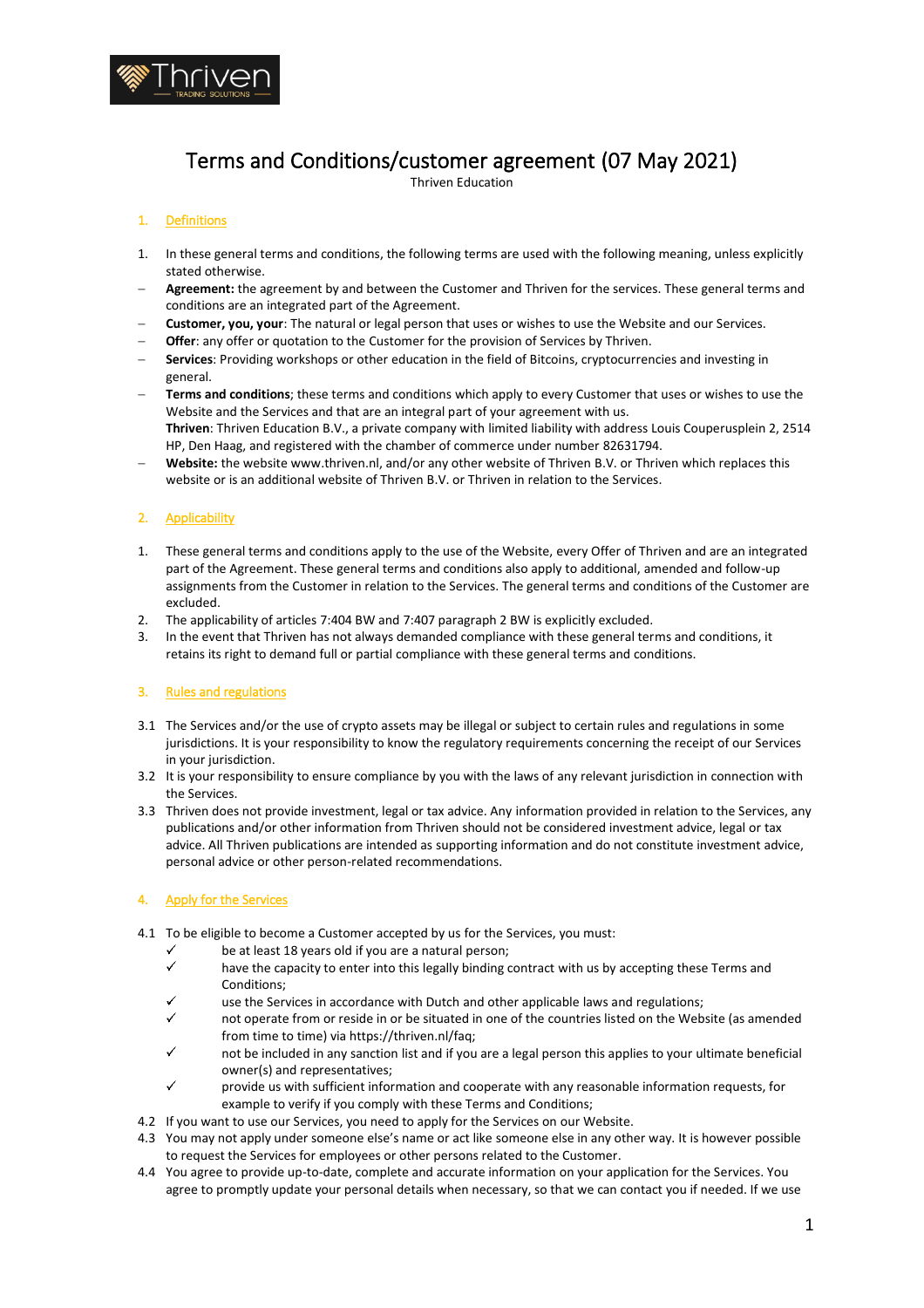

# Terms and Conditions/customer agreement (07 May 2021)

Thriven Education

# 1. Definitions

- 1. In these general terms and conditions, the following terms are used with the following meaning, unless explicitly stated otherwise.
- − **Agreement:** the agreement by and between the Customer and Thriven for the services. These general terms and conditions are an integrated part of the Agreement.
- − **Customer, you, your**: The natural or legal person that uses or wishes to use the Website and our Services.
- **Offer:** any offer or quotation to the Customer for the provision of Services by Thriven.
- − **Services**: Providing workshops or other education in the field of Bitcoins, cryptocurrencies and investing in general.
- − **Terms and conditions**; these terms and conditions which apply to every Customer that uses or wishes to use the Website and the Services and that are an integral part of your agreement with us. **Thriven**: Thriven Education B.V., a private company with limited liability with address Louis Couperusplein 2, 2514 HP, Den Haag, and registered with the chamber of commerce under number 82631794.
- Website: the website www.thriven.nl, and/or any other website of Thriven B.V. or Thriven which replaces this website or is an additional website of Thriven B.V. or Thriven in relation to the Services.

## 2. Applicability

- 1. These general terms and conditions apply to the use of the Website, every Offer of Thriven and are an integrated part of the Agreement. These general terms and conditions also apply to additional, amended and follow-up assignments from the Customer in relation to the Services. The general terms and conditions of the Customer are excluded.
- 2. The applicability of articles 7:404 BW and 7:407 paragraph 2 BW is explicitly excluded.
- 3. In the event that Thriven has not always demanded compliance with these general terms and conditions, it retains its right to demand full or partial compliance with these general terms and conditions.

#### 3. Rules and regulations

- 3.1 The Services and/or the use of crypto assets may be illegal or subject to certain rules and regulations in some jurisdictions. It is your responsibility to know the regulatory requirements concerning the receipt of our Services in your jurisdiction.
- 3.2 It is your responsibility to ensure compliance by you with the laws of any relevant jurisdiction in connection with the Services.
- 3.3 Thriven does not provide investment, legal or tax advice. Any information provided in relation to the Services, any publications and/or other information from Thriven should not be considered investment advice, legal or tax advice. All Thriven publications are intended as supporting information and do not constitute investment advice, personal advice or other person-related recommendations.

# 4. Apply for the Services

- 4.1 To be eligible to become a Customer accepted by us for the Services, you must:
	- be at least 18 years old if you are a natural person;
	- have the capacity to enter into this legally binding contract with us by accepting these Terms and Conditions;
	- $\overline{\mathscr{L}}$ use the Services in accordance with Dutch and other applicable laws and regulations;
	- not operate from or reside in or be situated in one of the countries listed on the Website (as amended from time to time) via https://thriven.nl/faq;
	- not be included in any sanction list and if you are a legal person this applies to your ultimate beneficial owner(s) and representatives;
	- provide us with sufficient information and cooperate with any reasonable information requests, for example to verify if you comply with these Terms and Conditions;
- 4.2 If you want to use our Services, you need to apply for the Services on our Website.
- 4.3 You may not apply under someone else's name or act like someone else in any other way. It is however possible to request the Services for employees or other persons related to the Customer.
- 4.4 You agree to provide up-to-date, complete and accurate information on your application for the Services. You agree to promptly update your personal details when necessary, so that we can contact you if needed. If we use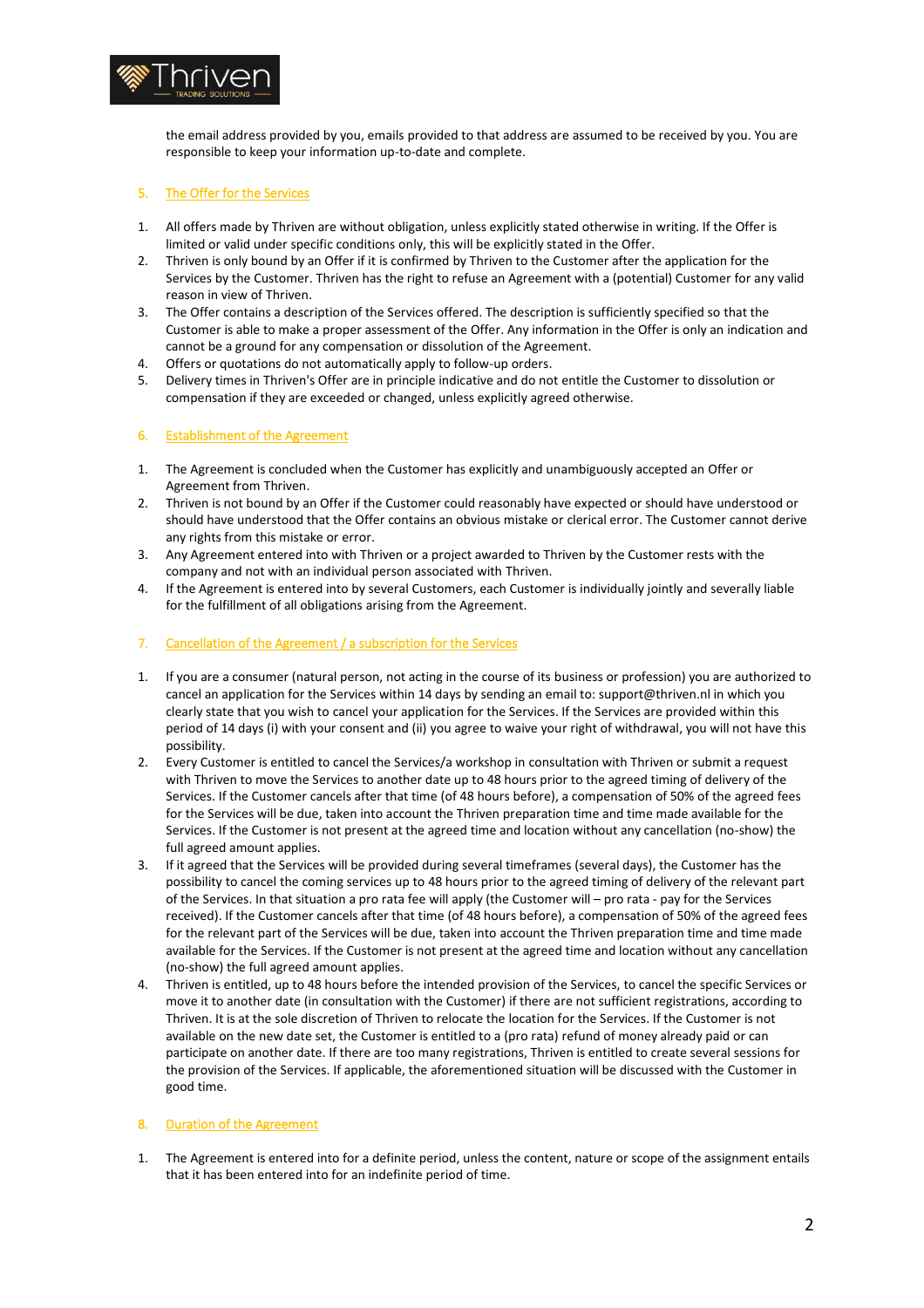

the email address provided by you, emails provided to that address are assumed to be received by you. You are responsible to keep your information up-to-date and complete.

## 5. The Offer for the Services

- 1. All offers made by Thriven are without obligation, unless explicitly stated otherwise in writing. If the Offer is limited or valid under specific conditions only, this will be explicitly stated in the Offer.
- 2. Thriven is only bound by an Offer if it is confirmed by Thriven to the Customer after the application for the Services by the Customer. Thriven has the right to refuse an Agreement with a (potential) Customer for any valid reason in view of Thriven.
- 3. The Offer contains a description of the Services offered. The description is sufficiently specified so that the Customer is able to make a proper assessment of the Offer. Any information in the Offer is only an indication and cannot be a ground for any compensation or dissolution of the Agreement.
- 4. Offers or quotations do not automatically apply to follow-up orders.
- 5. Delivery times in Thriven's Offer are in principle indicative and do not entitle the Customer to dissolution or compensation if they are exceeded or changed, unless explicitly agreed otherwise.

## 6. Establishment of the Agreement

- 1. The Agreement is concluded when the Customer has explicitly and unambiguously accepted an Offer or Agreement from Thriven.
- 2. Thriven is not bound by an Offer if the Customer could reasonably have expected or should have understood or should have understood that the Offer contains an obvious mistake or clerical error. The Customer cannot derive any rights from this mistake or error.
- 3. Any Agreement entered into with Thriven or a project awarded to Thriven by the Customer rests with the company and not with an individual person associated with Thriven.
- 4. If the Agreement is entered into by several Customers, each Customer is individually jointly and severally liable for the fulfillment of all obligations arising from the Agreement.
- 7. Cancellation of the Agreement / a subscription for the Services
- 1. If you are a consumer (natural person, not acting in the course of its business or profession) you are authorized to cancel an application for the Services within 14 days by sending an email to: support@thriven.nl in which you clearly state that you wish to cancel your application for the Services. If the Services are provided within this period of 14 days (i) with your consent and (ii) you agree to waive your right of withdrawal, you will not have this possibility.
- 2. Every Customer is entitled to cancel the Services/a workshop in consultation with Thriven or submit a request with Thriven to move the Services to another date up to 48 hours prior to the agreed timing of delivery of the Services. If the Customer cancels after that time (of 48 hours before), a compensation of 50% of the agreed fees for the Services will be due, taken into account the Thriven preparation time and time made available for the Services. If the Customer is not present at the agreed time and location without any cancellation (no-show) the full agreed amount applies.
- 3. If it agreed that the Services will be provided during several timeframes (several days), the Customer has the possibility to cancel the coming services up to 48 hours prior to the agreed timing of delivery of the relevant part of the Services. In that situation a pro rata fee will apply (the Customer will – pro rata - pay for the Services received). If the Customer cancels after that time (of 48 hours before), a compensation of 50% of the agreed fees for the relevant part of the Services will be due, taken into account the Thriven preparation time and time made available for the Services. If the Customer is not present at the agreed time and location without any cancellation (no-show) the full agreed amount applies.
- 4. Thriven is entitled, up to 48 hours before the intended provision of the Services, to cancel the specific Services or move it to another date (in consultation with the Customer) if there are not sufficient registrations, according to Thriven. It is at the sole discretion of Thriven to relocate the location for the Services. If the Customer is not available on the new date set, the Customer is entitled to a (pro rata) refund of money already paid or can participate on another date. If there are too many registrations, Thriven is entitled to create several sessions for the provision of the Services. If applicable, the aforementioned situation will be discussed with the Customer in good time.

#### 8. Duration of the Agreement

1. The Agreement is entered into for a definite period, unless the content, nature or scope of the assignment entails that it has been entered into for an indefinite period of time.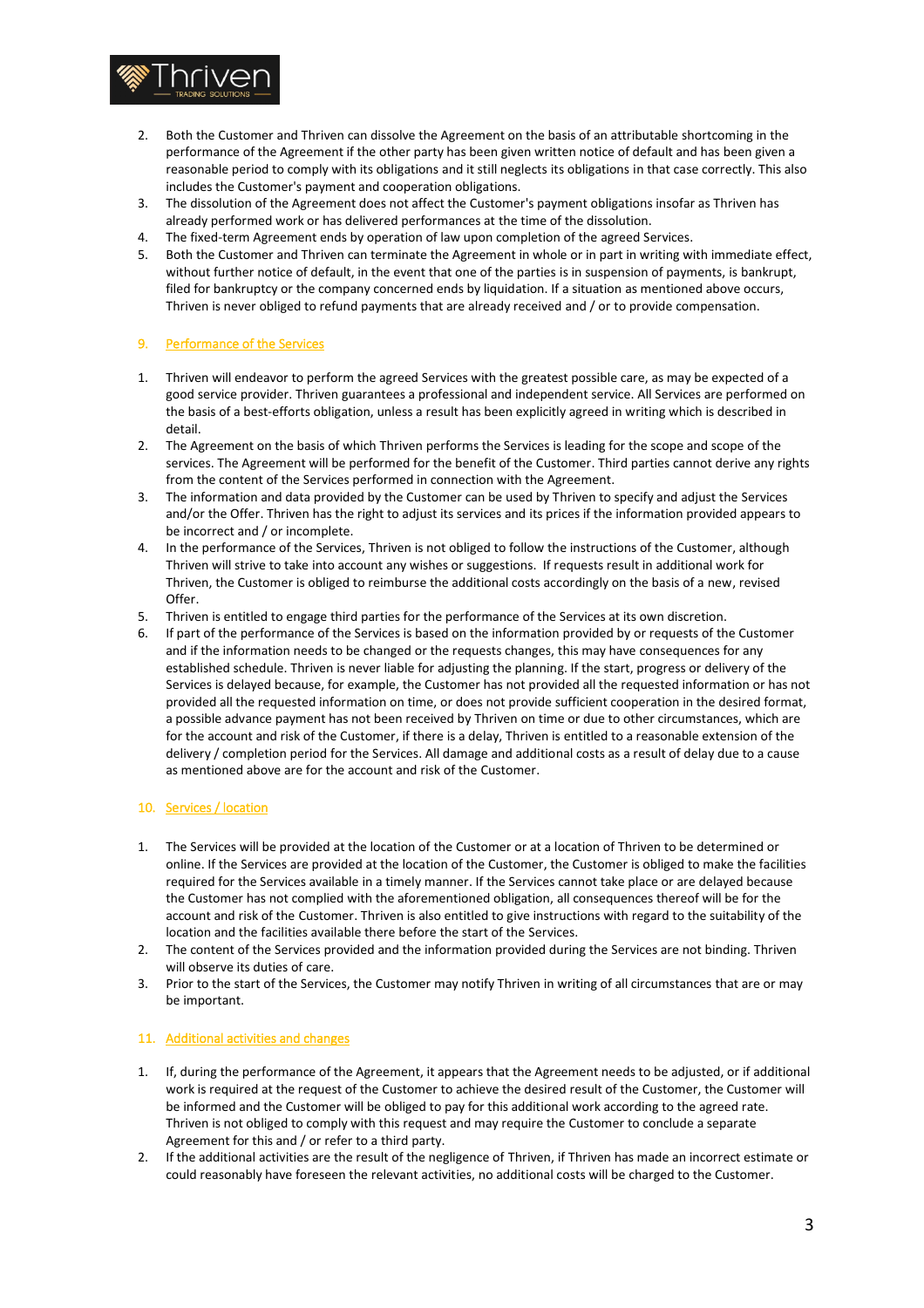

- 2. Both the Customer and Thriven can dissolve the Agreement on the basis of an attributable shortcoming in the performance of the Agreement if the other party has been given written notice of default and has been given a reasonable period to comply with its obligations and it still neglects its obligations in that case correctly. This also includes the Customer's payment and cooperation obligations.
- 3. The dissolution of the Agreement does not affect the Customer's payment obligations insofar as Thriven has already performed work or has delivered performances at the time of the dissolution.
- 4. The fixed-term Agreement ends by operation of law upon completion of the agreed Services.
- 5. Both the Customer and Thriven can terminate the Agreement in whole or in part in writing with immediate effect, without further notice of default, in the event that one of the parties is in suspension of payments, is bankrupt, filed for bankruptcy or the company concerned ends by liquidation. If a situation as mentioned above occurs, Thriven is never obliged to refund payments that are already received and / or to provide compensation.

## 9. Performance of the Services

- 1. Thriven will endeavor to perform the agreed Services with the greatest possible care, as may be expected of a good service provider. Thriven guarantees a professional and independent service. All Services are performed on the basis of a best-efforts obligation, unless a result has been explicitly agreed in writing which is described in detail.
- 2. The Agreement on the basis of which Thriven performs the Services is leading for the scope and scope of the services. The Agreement will be performed for the benefit of the Customer. Third parties cannot derive any rights from the content of the Services performed in connection with the Agreement.
- 3. The information and data provided by the Customer can be used by Thriven to specify and adjust the Services and/or the Offer. Thriven has the right to adjust its services and its prices if the information provided appears to be incorrect and / or incomplete.
- 4. In the performance of the Services, Thriven is not obliged to follow the instructions of the Customer, although Thriven will strive to take into account any wishes or suggestions. If requests result in additional work for Thriven, the Customer is obliged to reimburse the additional costs accordingly on the basis of a new, revised Offer.
- 5. Thriven is entitled to engage third parties for the performance of the Services at its own discretion.
- 6. If part of the performance of the Services is based on the information provided by or requests of the Customer and if the information needs to be changed or the requests changes, this may have consequences for any established schedule. Thriven is never liable for adjusting the planning. If the start, progress or delivery of the Services is delayed because, for example, the Customer has not provided all the requested information or has not provided all the requested information on time, or does not provide sufficient cooperation in the desired format, a possible advance payment has not been received by Thriven on time or due to other circumstances, which are for the account and risk of the Customer, if there is a delay, Thriven is entitled to a reasonable extension of the delivery / completion period for the Services. All damage and additional costs as a result of delay due to a cause as mentioned above are for the account and risk of the Customer.

# 10. Services / location

- 1. The Services will be provided at the location of the Customer or at a location of Thriven to be determined or online. If the Services are provided at the location of the Customer, the Customer is obliged to make the facilities required for the Services available in a timely manner. If the Services cannot take place or are delayed because the Customer has not complied with the aforementioned obligation, all consequences thereof will be for the account and risk of the Customer. Thriven is also entitled to give instructions with regard to the suitability of the location and the facilities available there before the start of the Services.
- 2. The content of the Services provided and the information provided during the Services are not binding. Thriven will observe its duties of care.
- 3. Prior to the start of the Services, the Customer may notify Thriven in writing of all circumstances that are or may be important.

## 11. Additional activities and changes

- 1. If, during the performance of the Agreement, it appears that the Agreement needs to be adjusted, or if additional work is required at the request of the Customer to achieve the desired result of the Customer, the Customer will be informed and the Customer will be obliged to pay for this additional work according to the agreed rate. Thriven is not obliged to comply with this request and may require the Customer to conclude a separate Agreement for this and / or refer to a third party.
- 2. If the additional activities are the result of the negligence of Thriven, if Thriven has made an incorrect estimate or could reasonably have foreseen the relevant activities, no additional costs will be charged to the Customer.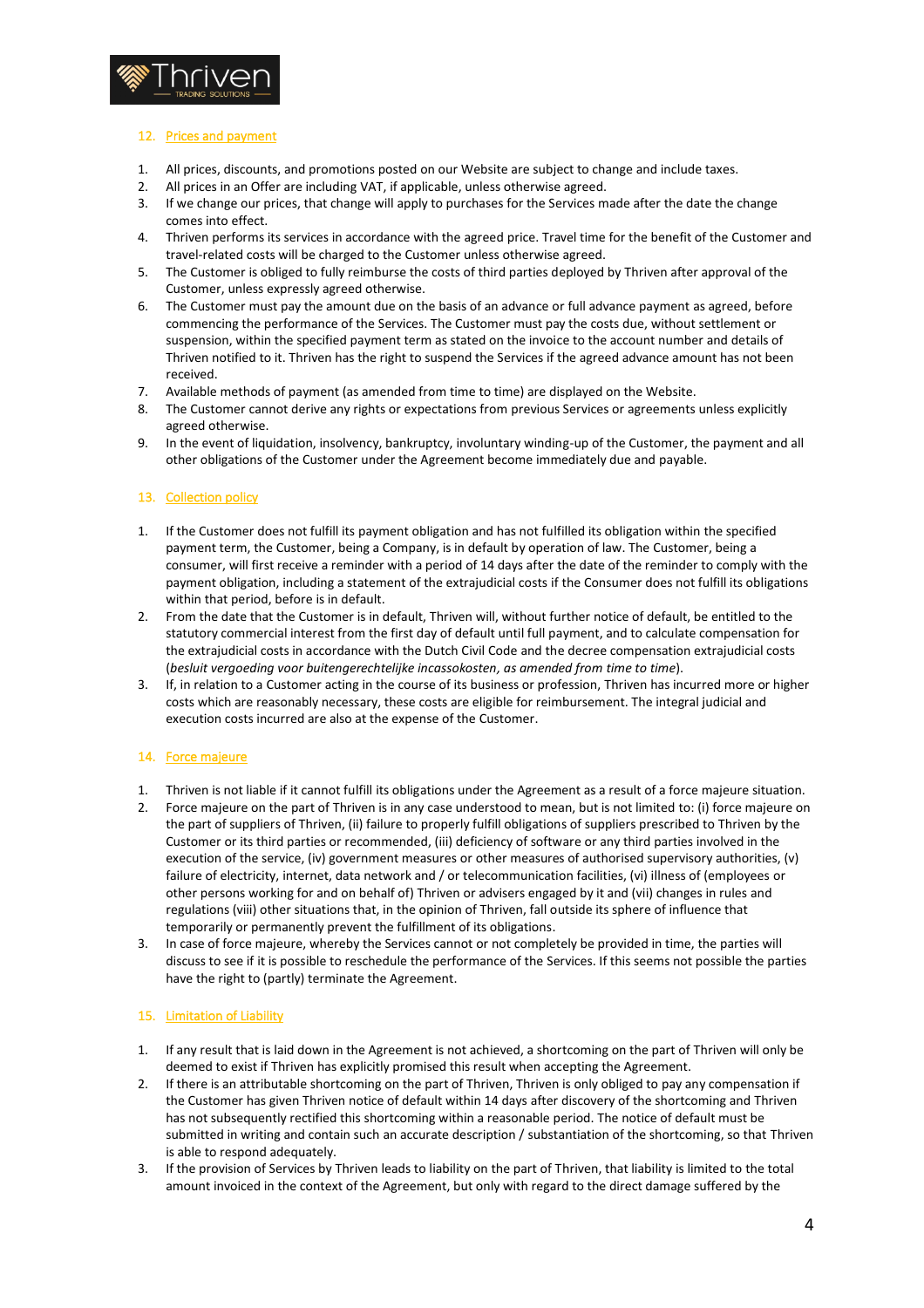

# 12. Prices and payment

- 1. All prices, discounts, and promotions posted on our Website are subject to change and include taxes.
- 2. All prices in an Offer are including VAT, if applicable, unless otherwise agreed.
- 3. If we change our prices, that change will apply to purchases for the Services made after the date the change comes into effect.
- 4. Thriven performs its services in accordance with the agreed price. Travel time for the benefit of the Customer and travel-related costs will be charged to the Customer unless otherwise agreed.
- 5. The Customer is obliged to fully reimburse the costs of third parties deployed by Thriven after approval of the Customer, unless expressly agreed otherwise.
- 6. The Customer must pay the amount due on the basis of an advance or full advance payment as agreed, before commencing the performance of the Services. The Customer must pay the costs due, without settlement or suspension, within the specified payment term as stated on the invoice to the account number and details of Thriven notified to it. Thriven has the right to suspend the Services if the agreed advance amount has not been received.
- 7. Available methods of payment (as amended from time to time) are displayed on the Website.
- 8. The Customer cannot derive any rights or expectations from previous Services or agreements unless explicitly agreed otherwise.
- 9. In the event of liquidation, insolvency, bankruptcy, involuntary winding-up of the Customer, the payment and all other obligations of the Customer under the Agreement become immediately due and payable.

#### 13. Collection policy

- 1. If the Customer does not fulfill its payment obligation and has not fulfilled its obligation within the specified payment term, the Customer, being a Company, is in default by operation of law. The Customer, being a consumer, will first receive a reminder with a period of 14 days after the date of the reminder to comply with the payment obligation, including a statement of the extrajudicial costs if the Consumer does not fulfill its obligations within that period, before is in default.
- 2. From the date that the Customer is in default, Thriven will, without further notice of default, be entitled to the statutory commercial interest from the first day of default until full payment, and to calculate compensation for the extrajudicial costs in accordance with the Dutch Civil Code and the decree compensation extrajudicial costs (*besluit vergoeding voor buitengerechtelijke incassokosten, as amended from time to time*).
- 3. If, in relation to a Customer acting in the course of its business or profession, Thriven has incurred more or higher costs which are reasonably necessary, these costs are eligible for reimbursement. The integral judicial and execution costs incurred are also at the expense of the Customer.

#### 14. Force majeure

- 1. Thriven is not liable if it cannot fulfill its obligations under the Agreement as a result of a force majeure situation.
- 2. Force majeure on the part of Thriven is in any case understood to mean, but is not limited to: (i) force majeure on the part of suppliers of Thriven, (ii) failure to properly fulfill obligations of suppliers prescribed to Thriven by the Customer or its third parties or recommended, (iii) deficiency of software or any third parties involved in the execution of the service, (iv) government measures or other measures of authorised supervisory authorities, (v) failure of electricity, internet, data network and / or telecommunication facilities, (vi) illness of (employees or other persons working for and on behalf of) Thriven or advisers engaged by it and (vii) changes in rules and regulations (viii) other situations that, in the opinion of Thriven, fall outside its sphere of influence that temporarily or permanently prevent the fulfillment of its obligations.
- 3. In case of force majeure, whereby the Services cannot or not completely be provided in time, the parties will discuss to see if it is possible to reschedule the performance of the Services. If this seems not possible the parties have the right to (partly) terminate the Agreement.

#### 15. Limitation of Liability

- 1. If any result that is laid down in the Agreement is not achieved, a shortcoming on the part of Thriven will only be deemed to exist if Thriven has explicitly promised this result when accepting the Agreement.
- 2. If there is an attributable shortcoming on the part of Thriven, Thriven is only obliged to pay any compensation if the Customer has given Thriven notice of default within 14 days after discovery of the shortcoming and Thriven has not subsequently rectified this shortcoming within a reasonable period. The notice of default must be submitted in writing and contain such an accurate description / substantiation of the shortcoming, so that Thriven is able to respond adequately.
- 3. If the provision of Services by Thriven leads to liability on the part of Thriven, that liability is limited to the total amount invoiced in the context of the Agreement, but only with regard to the direct damage suffered by the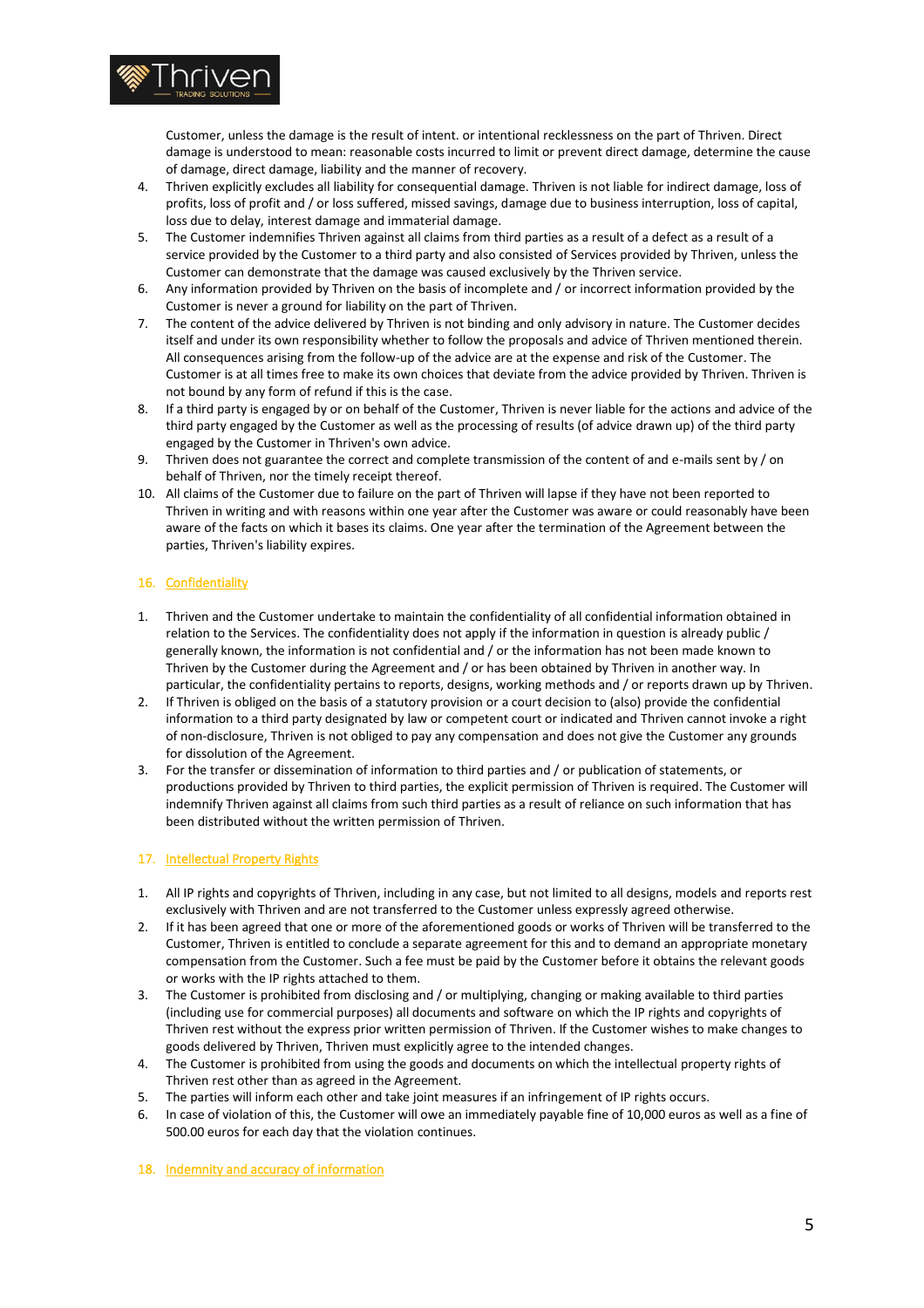

Customer, unless the damage is the result of intent. or intentional recklessness on the part of Thriven. Direct damage is understood to mean: reasonable costs incurred to limit or prevent direct damage, determine the cause of damage, direct damage, liability and the manner of recovery.

- 4. Thriven explicitly excludes all liability for consequential damage. Thriven is not liable for indirect damage, loss of profits, loss of profit and / or loss suffered, missed savings, damage due to business interruption, loss of capital, loss due to delay, interest damage and immaterial damage.
- 5. The Customer indemnifies Thriven against all claims from third parties as a result of a defect as a result of a service provided by the Customer to a third party and also consisted of Services provided by Thriven, unless the Customer can demonstrate that the damage was caused exclusively by the Thriven service.
- 6. Any information provided by Thriven on the basis of incomplete and / or incorrect information provided by the Customer is never a ground for liability on the part of Thriven.
- 7. The content of the advice delivered by Thriven is not binding and only advisory in nature. The Customer decides itself and under its own responsibility whether to follow the proposals and advice of Thriven mentioned therein. All consequences arising from the follow-up of the advice are at the expense and risk of the Customer. The Customer is at all times free to make its own choices that deviate from the advice provided by Thriven. Thriven is not bound by any form of refund if this is the case.
- 8. If a third party is engaged by or on behalf of the Customer, Thriven is never liable for the actions and advice of the third party engaged by the Customer as well as the processing of results (of advice drawn up) of the third party engaged by the Customer in Thriven's own advice.
- 9. Thriven does not guarantee the correct and complete transmission of the content of and e-mails sent by / on behalf of Thriven, nor the timely receipt thereof.
- 10. All claims of the Customer due to failure on the part of Thriven will lapse if they have not been reported to Thriven in writing and with reasons within one year after the Customer was aware or could reasonably have been aware of the facts on which it bases its claims. One year after the termination of the Agreement between the parties, Thriven's liability expires.

# 16. Confidentiality

- 1. Thriven and the Customer undertake to maintain the confidentiality of all confidential information obtained in relation to the Services. The confidentiality does not apply if the information in question is already public / generally known, the information is not confidential and / or the information has not been made known to Thriven by the Customer during the Agreement and / or has been obtained by Thriven in another way. In particular, the confidentiality pertains to reports, designs, working methods and / or reports drawn up by Thriven.
- 2. If Thriven is obliged on the basis of a statutory provision or a court decision to (also) provide the confidential information to a third party designated by law or competent court or indicated and Thriven cannot invoke a right of non-disclosure, Thriven is not obliged to pay any compensation and does not give the Customer any grounds for dissolution of the Agreement.
- 3. For the transfer or dissemination of information to third parties and / or publication of statements, or productions provided by Thriven to third parties, the explicit permission of Thriven is required. The Customer will indemnify Thriven against all claims from such third parties as a result of reliance on such information that has been distributed without the written permission of Thriven.

#### 17. Intellectual Property Rights

- 1. All IP rights and copyrights of Thriven, including in any case, but not limited to all designs, models and reports rest exclusively with Thriven and are not transferred to the Customer unless expressly agreed otherwise.
- 2. If it has been agreed that one or more of the aforementioned goods or works of Thriven will be transferred to the Customer, Thriven is entitled to conclude a separate agreement for this and to demand an appropriate monetary compensation from the Customer. Such a fee must be paid by the Customer before it obtains the relevant goods or works with the IP rights attached to them.
- 3. The Customer is prohibited from disclosing and / or multiplying, changing or making available to third parties (including use for commercial purposes) all documents and software on which the IP rights and copyrights of Thriven rest without the express prior written permission of Thriven. If the Customer wishes to make changes to goods delivered by Thriven, Thriven must explicitly agree to the intended changes.
- 4. The Customer is prohibited from using the goods and documents on which the intellectual property rights of Thriven rest other than as agreed in the Agreement.
- 5. The parties will inform each other and take joint measures if an infringement of IP rights occurs.<br>6. In case of violation of this, the Customer will owe an immediately payable fine of 10.000 euros are
- In case of violation of this, the Customer will owe an immediately payable fine of 10,000 euros as well as a fine of 500.00 euros for each day that the violation continues.
- 18. Indemnity and accuracy of information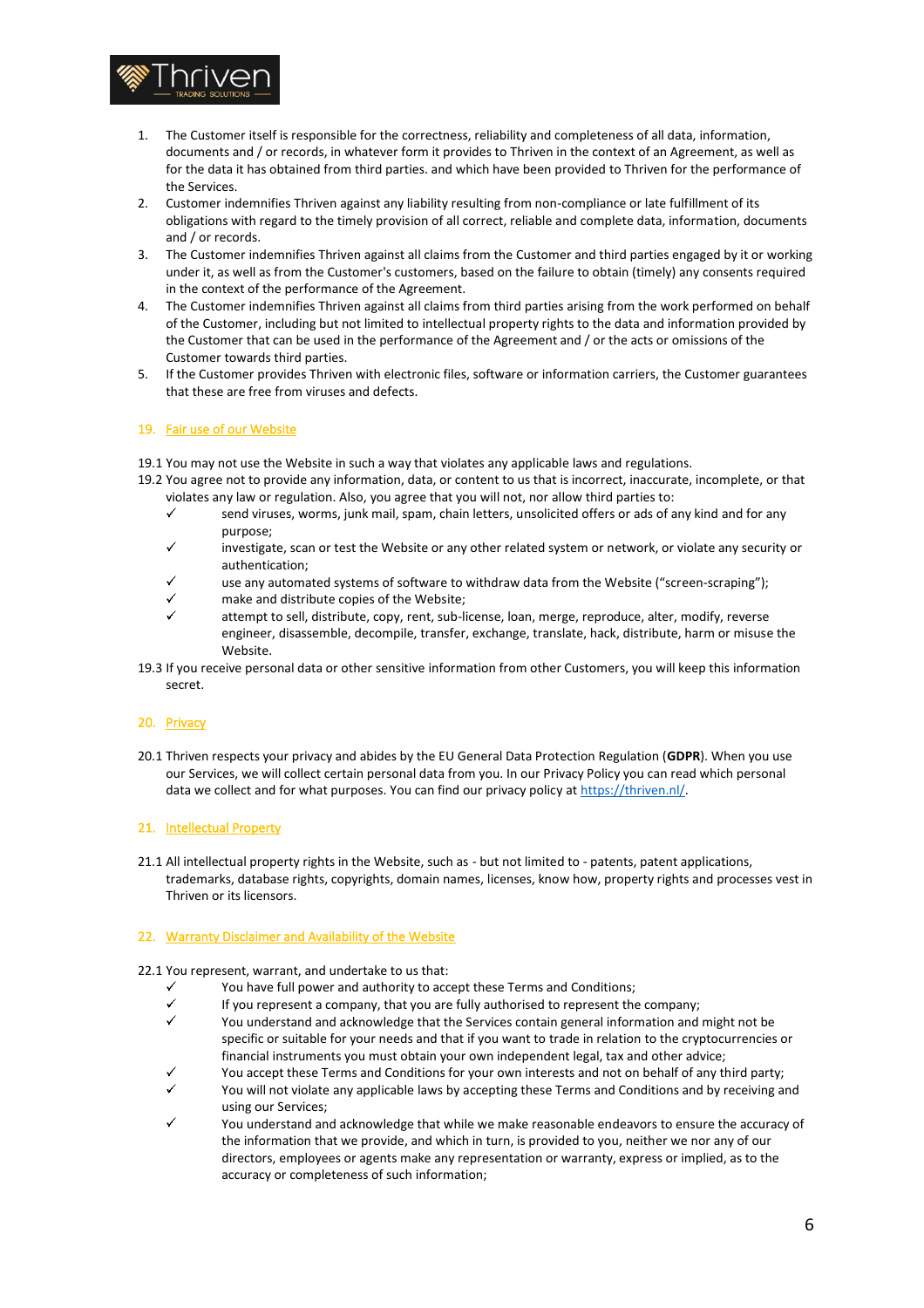

- 1. The Customer itself is responsible for the correctness, reliability and completeness of all data, information, documents and / or records, in whatever form it provides to Thriven in the context of an Agreement, as well as for the data it has obtained from third parties. and which have been provided to Thriven for the performance of the Services.
- 2. Customer indemnifies Thriven against any liability resulting from non-compliance or late fulfillment of its obligations with regard to the timely provision of all correct, reliable and complete data, information, documents and / or records.
- 3. The Customer indemnifies Thriven against all claims from the Customer and third parties engaged by it or working under it, as well as from the Customer's customers, based on the failure to obtain (timely) any consents required in the context of the performance of the Agreement.
- 4. The Customer indemnifies Thriven against all claims from third parties arising from the work performed on behalf of the Customer, including but not limited to intellectual property rights to the data and information provided by the Customer that can be used in the performance of the Agreement and / or the acts or omissions of the Customer towards third parties.
- 5. If the Customer provides Thriven with electronic files, software or information carriers, the Customer guarantees that these are free from viruses and defects.

# 19. Fair use of our Website

19.1 You may not use the Website in such a way that violates any applicable laws and regulations.

- 19.2 You agree not to provide any information, data, or content to us that is incorrect, inaccurate, incomplete, or that violates any law or regulation. Also, you agree that you will not, nor allow third parties to:
	- $\checkmark$ send viruses, worms, junk mail, spam, chain letters, unsolicited offers or ads of any kind and for any purpose;
	- $\checkmark$ investigate, scan or test the Website or any other related system or network, or violate any security or authentication;
	- use any automated systems of software to withdraw data from the Website ("screen-scraping");
	- $\checkmark$ make and distribute copies of the Website;
	- attempt to sell, distribute, copy, rent, sub-license, loan, merge, reproduce, alter, modify, reverse engineer, disassemble, decompile, transfer, exchange, translate, hack, distribute, harm or misuse the Website.
- 19.3 If you receive personal data or other sensitive information from other Customers, you will keep this information secret.

# 20. Privacy

20.1 Thriven respects your privacy and abides by the EU General Data Protection Regulation (**GDPR**). When you use our Services, we will collect certain personal data from you. In our Privacy Policy you can read which personal data we collect and for what purposes. You can find our privacy policy at [https://thriven.nl/.](https://thriven.nl/y)

#### 21. Intellectual Property

21.1 All intellectual property rights in the Website, such as - but not limited to - patents, patent applications, trademarks, database rights, copyrights, domain names, licenses, know how, property rights and processes vest in Thriven or its licensors.

#### 22. Warranty Disclaimer and Availability of the Website

#### 22.1 You represent, warrant, and undertake to us that:

- You have full power and authority to accept these Terms and Conditions;
- $\checkmark$ If you represent a company, that you are fully authorised to represent the company;
- You understand and acknowledge that the Services contain general information and might not be specific or suitable for your needs and that if you want to trade in relation to the cryptocurrencies or financial instruments you must obtain your own independent legal, tax and other advice;
- You accept these Terms and Conditions for your own interests and not on behalf of any third party;
- You will not violate any applicable laws by accepting these Terms and Conditions and by receiving and using our Services;
- You understand and acknowledge that while we make reasonable endeavors to ensure the accuracy of the information that we provide, and which in turn, is provided to you, neither we nor any of our directors, employees or agents make any representation or warranty, express or implied, as to the accuracy or completeness of such information;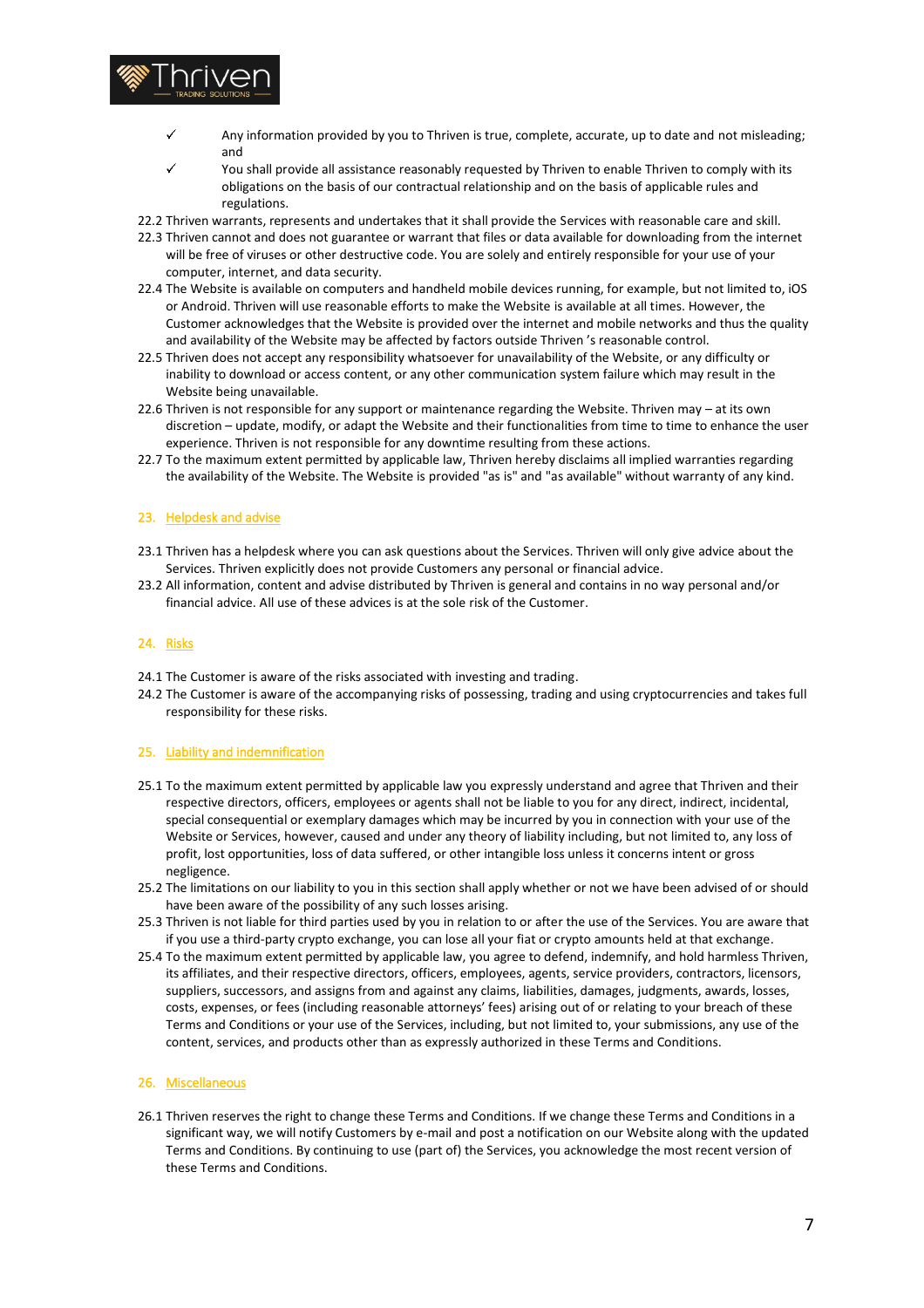

- Any information provided by you to Thriven is true, complete, accurate, up to date and not misleading; and
- You shall provide all assistance reasonably requested by Thriven to enable Thriven to comply with its obligations on the basis of our contractual relationship and on the basis of applicable rules and regulations.
- 22.2 Thriven warrants, represents and undertakes that it shall provide the Services with reasonable care and skill.
- 22.3 Thriven cannot and does not guarantee or warrant that files or data available for downloading from the internet will be free of viruses or other destructive code. You are solely and entirely responsible for your use of your computer, internet, and data security.
- 22.4 The Website is available on computers and handheld mobile devices running, for example, but not limited to, iOS or Android. Thriven will use reasonable efforts to make the Website is available at all times. However, the Customer acknowledges that the Website is provided over the internet and mobile networks and thus the quality and availability of the Website may be affected by factors outside Thriven 's reasonable control.
- 22.5 Thriven does not accept any responsibility whatsoever for unavailability of the Website, or any difficulty or inability to download or access content, or any other communication system failure which may result in the Website being unavailable.
- 22.6 Thriven is not responsible for any support or maintenance regarding the Website. Thriven may at its own discretion – update, modify, or adapt the Website and their functionalities from time to time to enhance the user experience. Thriven is not responsible for any downtime resulting from these actions.
- 22.7 To the maximum extent permitted by applicable law, Thriven hereby disclaims all implied warranties regarding the availability of the Website. The Website is provided "as is" and "as available" without warranty of any kind.

#### 23. Helpdesk and advise

- 23.1 Thriven has a helpdesk where you can ask questions about the Services. Thriven will only give advice about the Services. Thriven explicitly does not provide Customers any personal or financial advice.
- 23.2 All information, content and advise distributed by Thriven is general and contains in no way personal and/or financial advice. All use of these advices is at the sole risk of the Customer.

## 24. Risks

- 24.1 The Customer is aware of the risks associated with investing and trading.
- 24.2 The Customer is aware of the accompanying risks of possessing, trading and using cryptocurrencies and takes full responsibility for these risks.

#### 25. Liability and indemnification

- 25.1 To the maximum extent permitted by applicable law you expressly understand and agree that Thriven and their respective directors, officers, employees or agents shall not be liable to you for any direct, indirect, incidental, special consequential or exemplary damages which may be incurred by you in connection with your use of the Website or Services, however, caused and under any theory of liability including, but not limited to, any loss of profit, lost opportunities, loss of data suffered, or other intangible loss unless it concerns intent or gross negligence.
- 25.2 The limitations on our liability to you in this section shall apply whether or not we have been advised of or should have been aware of the possibility of any such losses arising.
- 25.3 Thriven is not liable for third parties used by you in relation to or after the use of the Services. You are aware that if you use a third-party crypto exchange, you can lose all your fiat or crypto amounts held at that exchange.
- 25.4 To the maximum extent permitted by applicable law, you agree to defend, indemnify, and hold harmless Thriven, its affiliates, and their respective directors, officers, employees, agents, service providers, contractors, licensors, suppliers, successors, and assigns from and against any claims, liabilities, damages, judgments, awards, losses, costs, expenses, or fees (including reasonable attorneys' fees) arising out of or relating to your breach of these Terms and Conditions or your use of the Services, including, but not limited to, your submissions, any use of the content, services, and products other than as expressly authorized in these Terms and Conditions.

### 26. Miscellaneous

26.1 Thriven reserves the right to change these Terms and Conditions. If we change these Terms and Conditions in a significant way, we will notify Customers by e-mail and post a notification on our Website along with the updated Terms and Conditions. By continuing to use (part of) the Services, you acknowledge the most recent version of these Terms and Conditions.